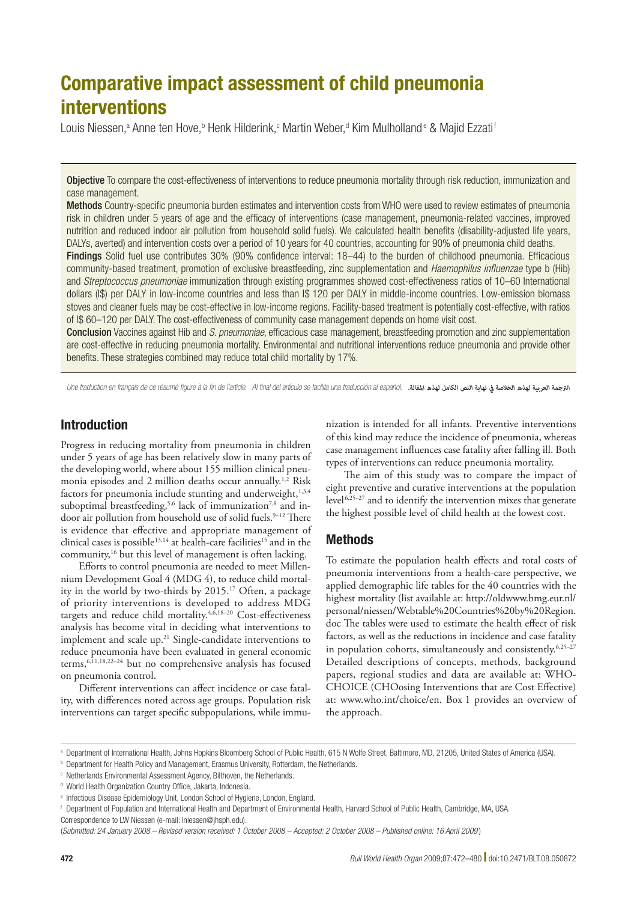# Comparative impact assessment of child pneumonia interventions

Louis Niessen,ª Anne ten Hove,ʰ Henk Hilderink,¢ Martin Weber,ª Kim Mulholland® & Majid Ezzati'

Objective To compare the cost-effectiveness of interventions to reduce pneumonia mortality through risk reduction, immunization and case management.

Methods Country-specific pneumonia burden estimates and intervention costs from WHO were used to review estimates of pneumonia risk in children under 5 years of age and the efficacy of interventions (case management, pneumonia-related vaccines, improved nutrition and reduced indoor air pollution from household solid fuels). We calculated health benefits (disability-adjusted life years, DALYs, averted) and intervention costs over a period of 10 years for 40 countries, accounting for 90% of pneumonia child deaths.

Findings Solid fuel use contributes 30% (90% confidence interval: 18–44) to the burden of childhood pneumonia. Efficacious community-based treatment, promotion of exclusive breastfeeding, zinc supplementation and *Haemophilus influenzae* type b (Hib) and *Streptococcus pneumoniae* immunization through existing programmes showed cost-effectiveness ratios of 10–60 International dollars (I\$) per DALY in low-income countries and less than I\$ 120 per DALY in middle-income countries. Low-emission biomass stoves and cleaner fuels may be cost-effective in low-income regions. Facility-based treatment is potentially cost-effective, with ratios of I\$ 60–120 per DALY. The cost-effectiveness of community case management depends on home visit cost.

Conclusion Vaccines against Hib and *S. pneumoniae*, efficacious case management, breastfeeding promotion and zinc supplementation are cost-effective in reducing pneumonia mortality. Environmental and nutritional interventions reduce pneumonia and provide other benefits. These strategies combined may reduce total child mortality by 17%.

Une traduction en français de ce résumé figure à la fin de l'article. Al final del artículo se facilita una traducción al español. *.املقالة لهذه الكامل النص نهاية يف الخالصة لهذه العربية الرتجمة*

# Introduction

Progress in reducing mortality from pneumonia in children under 5 years of age has been relatively slow in many parts of the developing world, where about 155 million clinical pneumonia episodes and 2 million deaths occur annually.<sup>1,2</sup> Risk factors for pneumonia include stunting and underweight,<sup>1,3,4</sup> suboptimal breastfeeding,<sup>5,6</sup> lack of immunization<sup>7,8</sup> and indoor air pollution from household use of solid fuels.<sup>9-12</sup> There is evidence that effective and appropriate management of clinical cases is possible<sup>13,14</sup> at health-care facilities<sup>15</sup> and in the community,16 but this level of management is often lacking.

Efforts to control pneumonia are needed to meet Millennium Development Goal 4 (MDG 4), to reduce child mortality in the world by two-thirds by 2015.17 Often, a package of priority interventions is developed to address MDG targets and reduce child mortality.<sup>4, $\bar{6}$ ,18-20 Cost-effectiveness</sup> analysis has become vital in deciding what interventions to implement and scale up.<sup>21</sup> Single-candidate interventions to reduce pneumonia have been evaluated in general economic terms,6,11,18,22–24 but no comprehensive analysis has focused on pneumonia control.

Different interventions can affect incidence or case fatality, with differences noted across age groups. Population risk interventions can target specific subpopulations, while immu-

nization is intended for all infants. Preventive interventions of this kind may reduce the incidence of pneumonia, whereas case management influences case fatality after falling ill. Both types of interventions can reduce pneumonia mortality.

The aim of this study was to compare the impact of eight preventive and curative interventions at the population level 6,25–27 and to identify the intervention mixes that generate the highest possible level of child health at the lowest cost.

# Methods

To estimate the population health effects and total costs of pneumonia interventions from a health-care perspective, we applied demographic life tables for the 40 countries with the highest mortality (list available at: [http://oldwww.bmg.eur.nl/](http://oldwww.bmg.eur.nl/personal/niessen/Webtable Countries by Region.doc) [personal/niessen/Webtable%20Countries%20by%20Region.](http://oldwww.bmg.eur.nl/personal/niessen/Webtable Countries by Region.doc) [doc](http://oldwww.bmg.eur.nl/personal/niessen/Webtable Countries by Region.doc) The tables were used to estimate the health effect of risk factors, as well as the reductions in incidence and case fatality in population cohorts, simultaneously and consistently.6,25–27 Detailed descriptions of concepts, methods, background papers, regional studies and data are available at: WHO-CHOICE (CHOosing Interventions that are Cost Effective) at: [www.who.int/choice/en.](http://www.who.int/choice/en) Box 1 provides an overview of the approach.

a Department of International Health, Johns Hopkins Bloomberg School of Public Health, 615 N Wolfe Street, Baltimore, MD, 21205, United States of America (USA).

**b** Department for Health Policy and Management, Erasmus University, Rotterdam, the Netherlands.

c Netherlands Environmental Assessment Agency, Bilthoven, the Netherlands.

<sup>&</sup>lt;sup>d</sup> World Health Organization Country Office, Jakarta, Indonesia.

e Infectious Disease Epidemiology Unit, London School of Hygiene, London, England.

f Department of Population and International Health and Department of Environmental Health, Harvard School of Public Health, Cambridge, MA, USA.

Correspondence to LW Niessen (e-mail: lniessen@jhsph.edu).

<sup>(</sup>*Submitted: 24 January 2008 – Revised version received: 1 October 2008 – Accepted: 2 October 2008 – Published online: 16 April 2009* )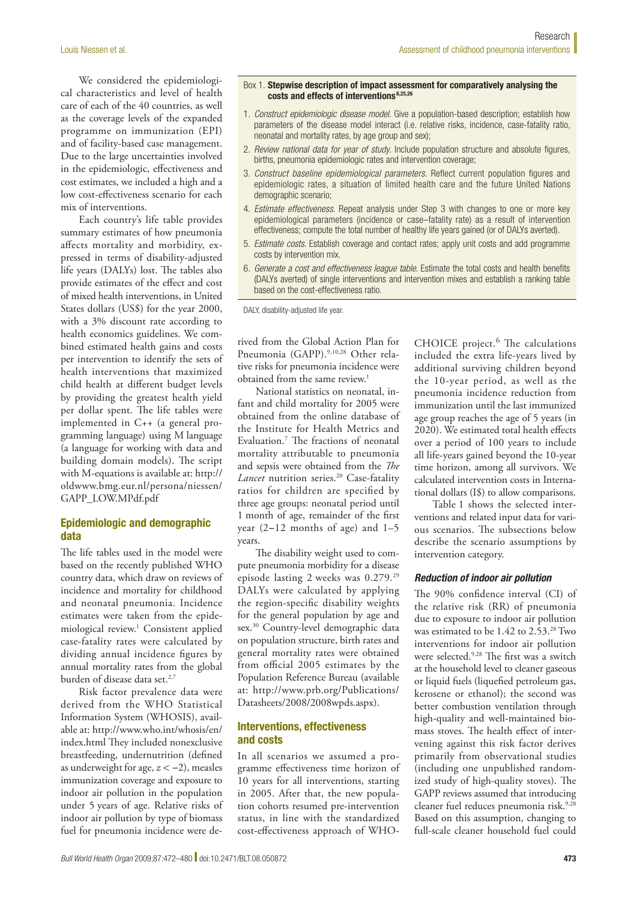We considered the epidemiological characteristics and level of health care of each of the 40 countries, as well as the coverage levels of the expanded programme on immunization (EPI) and of facility-based case management. Due to the large uncertainties involved in the epidemiologic, effectiveness and cost estimates, we included a high and a low cost-effectiveness scenario for each mix of interventions.

Each country's life table provides summary estimates of how pneumonia affects mortality and morbidity, expressed in terms of disability-adjusted life years (DALYs) lost. The tables also provide estimates of the effect and cost of mixed health interventions, in United States dollars (US\$) for the year 2000, with a 3% discount rate according to health economics guidelines. We combined estimated health gains and costs per intervention to identify the sets of health interventions that maximized child health at different budget levels by providing the greatest health yield per dollar spent. The life tables were implemented in C++ (a general programming language) using M language (a language for working with data and building domain models). The script with M-equations is available at: [http://](http://oldwww.bmg.eur.nl/persona/niessen/GAPP_LOW.MPdf.pdf) [oldwww.bmg.eur.nl/persona/niessen/](http://oldwww.bmg.eur.nl/persona/niessen/GAPP_LOW.MPdf.pdf) [GAPP\\_LOW.MPdf.pdf](http://oldwww.bmg.eur.nl/persona/niessen/GAPP_LOW.MPdf.pdf)

# Epidemiologic and demographic data

The life tables used in the model were based on the recently published WHO country data, which draw on reviews of incidence and mortality for childhood and neonatal pneumonia. Incidence estimates were taken from the epidemiological review.1 Consistent applied case-fatality rates were calculated by dividing annual incidence figures by annual mortality rates from the global burden of disease data set.<sup>2,7</sup>

Risk factor prevalence data were derived from the WHO Statistical Information System (WHOSIS), available at: [http://www.who.int/whosis/en/](http://www.who.int/whosis/en/index.html) [index.html](http://www.who.int/whosis/en/index.html) They included nonexclusive breastfeeding, undernutrition (defined as underweight for age, *z* < −2), measles immunization coverage and exposure to indoor air pollution in the population under 5 years of age. Relative risks of indoor air pollution by type of biomass fuel for pneumonia incidence were de-

#### Box 1. Stepwise description of impact assessment for comparatively analysing the costs and effects of interventions 6,25,26

- 1. *Construct epidemiologic disease model*. Give a population-based description; establish how parameters of the disease model interact (i.e. relative risks, incidence, case-fatality ratio, neonatal and mortality rates, by age group and sex);
- 2. *Review national data for year of study*. Include population structure and absolute figures, births, pneumonia epidemiologic rates and intervention coverage;
- 3. *Construct baseline epidemiological parameters*. Reflect current population figures and epidemiologic rates, a situation of limited health care and the future United Nations demographic scenario;
- 4. *Estimate effectiveness*. Repeat analysis under Step 3 with changes to one or more key epidemiological parameters (incidence or case–fatality rate) as a result of intervention effectiveness; compute the total number of healthy life years gained (or of DALYs averted).
- 5. *Estimate costs*. Establish coverage and contact rates; apply unit costs and add programme costs by intervention mix.
- 6. *Generate a cost and effectiveness league table*. Estimate the total costs and health benefits (DALYs averted) of single interventions and intervention mixes and establish a ranking table based on the cost-effectiveness ratio.

DALY, disability-adjusted life year.

rived from the Global Action Plan for Pneumonia (GAPP).<sup>9,10,28</sup> Other relative risks for pneumonia incidence were obtained from the same review.<sup>1</sup>

National statistics on neonatal, infant and child mortality for 2005 were obtained from the online database of the Institute for Health Metrics and Evaluation.7 The fractions of neonatal mortality attributable to pneumonia and sepsis were obtained from the *The Lancet* nutrition series.<sup>20</sup> Case-fatality ratios for children are specified by three age groups: neonatal period until 1 month of age, remainder of the first year (2−12 months of age) and 1–5 years.

The disability weight used to compute pneumonia morbidity for a disease episode lasting 2 weeks was 0.279.29 DALYs were calculated by applying the region-specific disability weights for the general population by age and sex.<sup>30</sup> Country-level demographic data on population structure, birth rates and general mortality rates were obtained from official 2005 estimates by the Population Reference Bureau (available at: [http://www.prb.org/Publications/](http://www.prb.org/Publications/Datasheets/2008/2008wpds.aspx) [Datasheets/2008/2008wpds.aspx](http://www.prb.org/Publications/Datasheets/2008/2008wpds.aspx)).

# Interventions, effectiveness and costs

In all scenarios we assumed a programme effectiveness time horizon of 10 years for all interventions, starting in 2005. After that, the new population cohorts resumed pre-intervention status, in line with the standardized cost-effectiveness approach of WHO-

CHOICE project.<sup>6</sup> The calculations included the extra life-years lived by additional surviving children beyond the 10-year period, as well as the pneumonia incidence reduction from immunization until the last immunized age group reaches the age of 5 years (in 2020). We estimated total health effects over a period of 100 years to include all life-years gained beyond the 10-year time horizon, among all survivors. We calculated intervention costs in International dollars (I\$) to allow comparisons.

Table 1 shows the selected interventions and related input data for various scenarios. The subsections below describe the scenario assumptions by intervention category.

## *Reduction of indoor air pollution*

The 90% confidence interval (CI) of the relative risk (RR) of pneumonia due to exposure to indoor air pollution was estimated to be 1.42 to 2.53.28 Two interventions for indoor air pollution were selected.<sup>9,28</sup> The first was a switch at the household level to cleaner gaseous or liquid fuels (liquefied petroleum gas, kerosene or ethanol); the second was better combustion ventilation through high-quality and well-maintained biomass stoves. The health effect of intervening against this risk factor derives primarily from observational studies (including one unpublished randomized study of high-quality stoves). The GAPP reviews assumed that introducing cleaner fuel reduces pneumonia risk.<sup>9,28</sup> Based on this assumption, changing to full-scale cleaner household fuel could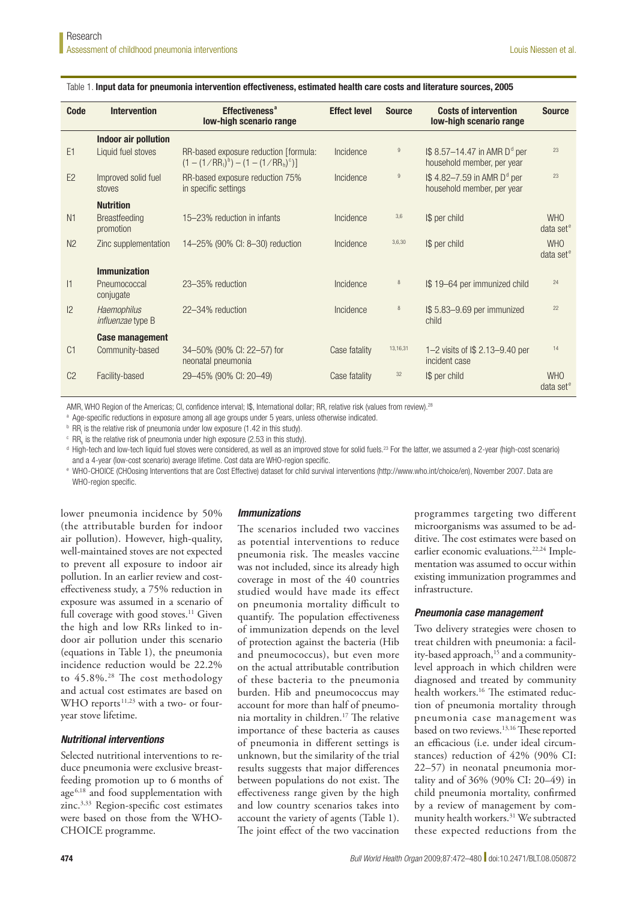| <b>Code</b>    | <b>Intervention</b>                     | Effectiveness <sup>a</sup><br>low-high scenario range                          | <b>Effect level</b> | <b>Source</b> | <b>Costs of intervention</b><br>low-high scenario range                          | <b>Source</b>              |
|----------------|-----------------------------------------|--------------------------------------------------------------------------------|---------------------|---------------|----------------------------------------------------------------------------------|----------------------------|
|                | Indoor air pollution                    |                                                                                |                     |               |                                                                                  |                            |
| E1             | Liquid fuel stoves                      | RR-based exposure reduction [formula:<br>$(1 - (1 / RR1)b) - (1 - (1 / RRh)c)$ | Incidence           | 9             | $\frac{1}{9}$ 8.57-14.47 in AMR D <sup>d</sup> per<br>household member, per year | 23                         |
| E2             | Improved solid fuel<br>stoves           | RR-based exposure reduction 75%<br>in specific settings                        | Incidence           | 9             | I\$ 4.82-7.59 in AMR D <sup>d</sup> per<br>household member, per year            | 23                         |
|                | <b>Nutrition</b>                        |                                                                                |                     |               |                                                                                  |                            |
| N <sub>1</sub> | Breastfeeding<br>promotion              | 15–23% reduction in infants                                                    | Incidence           | 3,6           | I\$ per child                                                                    | <b>WHO</b><br>data set $e$ |
| N <sub>2</sub> | Zinc supplementation                    | 14-25% (90% CI: 8-30) reduction                                                | Incidence           | 3,6,30        | I\$ per child                                                                    | <b>WHO</b><br>data set $e$ |
|                | <b>Immunization</b>                     |                                                                                |                     |               |                                                                                  |                            |
| 1              | Pneumococcal<br>conjugate               | 23-35% reduction                                                               | Incidence           | 8             | I\$ 19-64 per immunized child                                                    | 24                         |
| $ 2\rangle$    | Haemophilus<br><i>influenzae</i> type B | 22-34% reduction                                                               | Incidence           | 8             | I\$ 5.83-9.69 per immunized<br>child                                             | 22                         |
|                | <b>Case management</b>                  |                                                                                |                     |               |                                                                                  |                            |
| C <sub>1</sub> | Community-based                         | 34-50% (90% CI: 22-57) for<br>neonatal pneumonia                               | Case fatality       | 13,16,31      | 1-2 visits of $$2.13-9.40$ per<br>incident case                                  | 14                         |
| C <sub>2</sub> | Facility-based                          | 29-45% (90% CI: 20-49)                                                         | Case fatality       | 32            | I\$ per child                                                                    | <b>WHO</b><br>data set $e$ |

#### Table 1. Input data for pneumonia intervention effectiveness, estimated health care costs and literature sources, 2005

AMR, WHO Region of the Americas; CI, confidence interval; I\$, International dollar; RR, relative risk (values from review).<sup>28</sup>

a Age-specific reductions in exposure among all age groups under 5 years, unless otherwise indicated.

 $b$  RR<sub>1</sub> is the relative risk of pneumonia under low exposure (1.42 in this study).

 $\text{CR}_{\text{h}}$  is the relative risk of pneumonia under high exposure (2.53 in this study).

<sup>d</sup> High-tech and low-tech liquid fuel stoves were considered, as well as an improved stove for solid fuels.<sup>23</sup> For the latter, we assumed a 2-year (high-cost scenario) and a 4-year (low-cost scenario) average lifetime. Cost data are WHO-region specific.

e WHO-CHOICE (CHOosing Interventions that are Cost Effective) dataset for child survival interventions (http://www.who.int/choice/en), November 2007. Data are WHO-region specific.

lower pneumonia incidence by 50% (the attributable burden for indoor air pollution). However, high-quality, well-maintained stoves are not expected to prevent all exposure to indoor air pollution. In an earlier review and costeffectiveness study, a 75% reduction in exposure was assumed in a scenario of full coverage with good stoves.<sup>11</sup> Given the high and low RRs linked to indoor air pollution under this scenario (equations in Table 1), the pneumonia incidence reduction would be 22.2% to 45.8%.<sup>28</sup> The cost methodology and actual cost estimates are based on WHO reports $11,23$  with a two- or fouryear stove lifetime.

## *Nutritional interventions*

Selected nutritional interventions to reduce pneumonia were exclusive breastfeeding promotion up to 6 months of age<sup>6,18</sup> and food supplementation with zinc.3,33 Region-specific cost estimates were based on those from the WHO-CHOICE programme.

#### *Immunizations*

The scenarios included two vaccines as potential interventions to reduce pneumonia risk. The measles vaccine was not included, since its already high coverage in most of the 40 countries studied would have made its effect on pneumonia mortality difficult to quantify. The population effectiveness of immunization depends on the level of protection against the bacteria (Hib and pneumococcus), but even more on the actual attributable contribution of these bacteria to the pneumonia burden. Hib and pneumococcus may account for more than half of pneumonia mortality in children.17 The relative importance of these bacteria as causes of pneumonia in different settings is unknown, but the similarity of the trial results suggests that major differences between populations do not exist. The effectiveness range given by the high and low country scenarios takes into account the variety of agents (Table 1). The joint effect of the two vaccination

programmes targeting two different microorganisms was assumed to be additive. The cost estimates were based on earlier economic evaluations.<sup>22,24</sup> Implementation was assumed to occur within existing immunization programmes and infrastructure.

## *Pneumonia case management*

Two delivery strategies were chosen to treat children with pneumonia: a facility-based approach,<sup>15</sup> and a communitylevel approach in which children were diagnosed and treated by community health workers.<sup>16</sup> The estimated reduction of pneumonia mortality through pneumonia case management was based on two reviews.13,16 These reported an efficacious (i.e. under ideal circumstances) reduction of 42% (90% CI: 22–57) in neonatal pneumonia mortality and of 36% (90% CI: 20–49) in child pneumonia mortality, confirmed by a review of management by community health workers.<sup>31</sup> We subtracted these expected reductions from the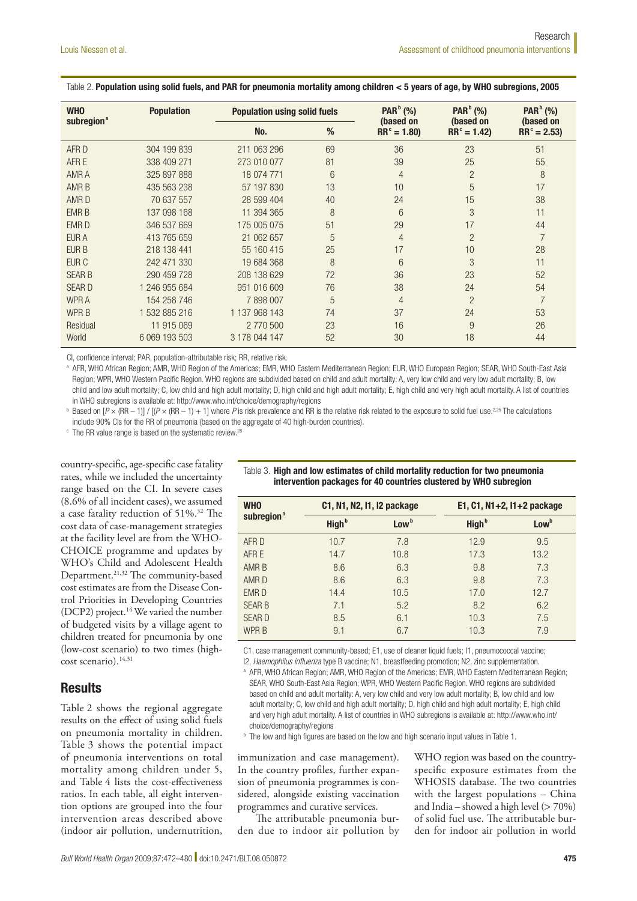| <b>WHO</b>             | <b>Population</b> | <b>Population using solid fuels</b> |    | PAR <sup>b</sup> (%)       | PAR <sup>b</sup> (%)       | PAR <sup>b</sup> (%)       |
|------------------------|-------------------|-------------------------------------|----|----------------------------|----------------------------|----------------------------|
| subregion <sup>a</sup> |                   | No.                                 | %  | (based on<br>$RR^c = 1.80$ | (based on<br>$RR^c = 1.42$ | (based on<br>$RR^c = 2.53$ |
| AFR D                  | 304 199 839       | 211 063 296                         | 69 | 36                         | 23                         | 51                         |
| AFR E                  | 338 409 271       | 273 010 077                         | 81 | 39                         | 25                         | 55                         |
| AMR A                  | 325 897 888       | 18 074 771                          | 6  | 4                          | $\overline{2}$             | 8                          |
| <b>AMRB</b>            | 435 563 238       | 57 197 830                          | 13 | 10                         | 5                          | 17                         |
| AMR <sub>D</sub>       | 70 637 557        | 28 599 404                          | 40 | 24                         | 15                         | 38                         |
| <b>EMR B</b>           | 137 098 168       | 11 394 365                          | 8  | 6                          | 3                          | 11                         |
| <b>EMRD</b>            | 346 537 669       | 175 005 075                         | 51 | 29                         | 17                         | 44                         |
| <b>EUR A</b>           | 413 765 659       | 21 062 657                          | 5  | 4                          | $\overline{2}$             | $\overline{7}$             |
| EUR B                  | 218 138 441       | 55 160 415                          | 25 | 17                         | 10                         | 28                         |
| EUR <sub>C</sub>       | 242 471 330       | 19 684 368                          | 8  | 6                          | 3                          | 11                         |
| <b>SEAR B</b>          | 290 459 728       | 208 138 629                         | 72 | 36                         | 23                         | 52                         |
| <b>SEARD</b>           | 1 246 955 684     | 951 016 609                         | 76 | 38                         | 24                         | 54                         |
| <b>WPRA</b>            | 154 258 746       | 7898007                             | 5  | 4                          | $\overline{2}$             | $\overline{7}$             |
| <b>WPRB</b>            | 1 532 885 216     | 1 137 968 143                       | 74 | 37                         | 24                         | 53                         |
| Residual               | 11 915 069        | 2 770 500                           | 23 | 16                         | 9                          | 26                         |
| World                  | 6 069 193 503     | 3 178 044 147                       | 52 | 30                         | 18                         | 44                         |

#### Table 2. Population using solid fuels, and PAR for pneumonia mortality among children < 5 years of age, by WHO subregions, 2005

CI, confidence interval; PAR, population-attributable risk; RR, relative risk.

a AFR, WHO African Region; AMR, WHO Region of the Americas; EMR, WHO Eastern Mediterranean Region; EUR, WHO European Region; SEAR, WHO South-East Asia Region; WPR, WHO Western Pacific Region. WHO regions are subdivided based on child and adult mortality: A, very low child and very low adult mortality; B, low child and low adult mortality; C, low child and high adult mortality; D, high child and high adult mortality; E, high child and very high adult mortality. A list of countries in WHO subregions is available at: http://www.who.int/choice/demography/regions

 $^{\text{b}}$  Based on [*P* × (RR – 1)] / [(*P* × (RR – 1) + 1] where *P* is risk prevalence and RR is the relative risk related to the exposure to solid fuel use.<sup>2,25</sup> The calculations include 90% CIs for the RR of pneumonia (based on the aggregate of 40 high-burden countries).

<sup>c</sup> The RR value range is based on the systematic review.<sup>28</sup>

country-specific, age-specific case fatality rates, while we included the uncertainty range based on the CI. In severe cases (8.6% of all incident cases), we assumed a case fatality reduction of 51%.32 The cost data of case-management strategies at the facility level are from the WHO-CHOICE programme and updates by WHO's Child and Adolescent Health Department.21,32 The community-based cost estimates are from the Disease Control Priorities in Developing Countries (DCP2) project.<sup>14</sup> We varied the number of budgeted visits by a village agent to children treated for pneumonia by one (low-cost scenario) to two times (highcost scenario).14,31

# **Results**

Table 2 shows the regional aggregate results on the effect of using solid fuels on pneumonia mortality in children. Table 3 shows the potential impact of pneumonia interventions on total mortality among children under 5, and Table 4 lists the cost-effectiveness ratios. In each table, all eight intervention options are grouped into the four intervention areas described above (indoor air pollution, undernutrition,

| <b>WHO</b>             |                   | C1, N1, N2, I1, I2 package | E1, C1, N1+2, I1+2 package |                  |  |  |
|------------------------|-------------------|----------------------------|----------------------------|------------------|--|--|
| subregion <sup>a</sup> | High <sup>b</sup> | Low <sup>b</sup>           | High <sup>b</sup>          | Low <sup>b</sup> |  |  |
| AFR D                  | 10.7              | 7.8                        | 12.9                       | 9.5              |  |  |
| AFR E                  | 14.7              | 10.8                       | 17.3                       | 13.2             |  |  |
| AMR B                  | 8.6               | 6.3                        | 9.8                        | 7.3              |  |  |
| AMR D                  | 8.6               | 6.3                        | 9.8                        | 7.3              |  |  |
| EMR D                  | 14.4              | 10.5                       | 17.0                       | 12.7             |  |  |
| <b>SEAR B</b>          | 7.1               | 5.2                        | 8.2                        | 6.2              |  |  |
| <b>SEARD</b>           | 8.5               | 6.1                        | 10.3                       | 7.5              |  |  |
| <b>WPR B</b>           | 9.1               | 6.7                        | 10.3                       | 7.9              |  |  |

#### Table 3. High and low estimates of child mortality reduction for two pneumonia intervention packages for 40 countries clustered by WHO subregion

C1, case management community-based; E1, use of cleaner liquid fuels; I1, pneumococcal vaccine;

I2, *Haemophilus influenza* type B vaccine; N1, breastfeeding promotion; N2, zinc supplementation.

a AFR, WHO African Region; AMR, WHO Region of the Americas; EMR, WHO Eastern Mediterranean Region; SEAR, WHO South-East Asia Region; WPR, WHO Western Pacific Region. WHO regions are subdivided based on child and adult mortality: A, very low child and very low adult mortality; B, low child and low adult mortality; C, low child and high adult mortality; D, high child and high adult mortality; E, high child and very high adult mortality. A list of countries in WHO subregions is available at: http://www.who.int/ choice/demography/regions

<sup>b</sup> The low and high figures are based on the low and high scenario input values in Table 1.

immunization and case management). In the country profiles, further expansion of pneumonia programmes is considered, alongside existing vaccination programmes and curative services.

The attributable pneumonia burden due to indoor air pollution by

WHO region was based on the countryspecific exposure estimates from the WHOSIS database. The two countries with the largest populations – China and India – showed a high level  $(> 70\%)$ of solid fuel use. The attributable burden for indoor air pollution in world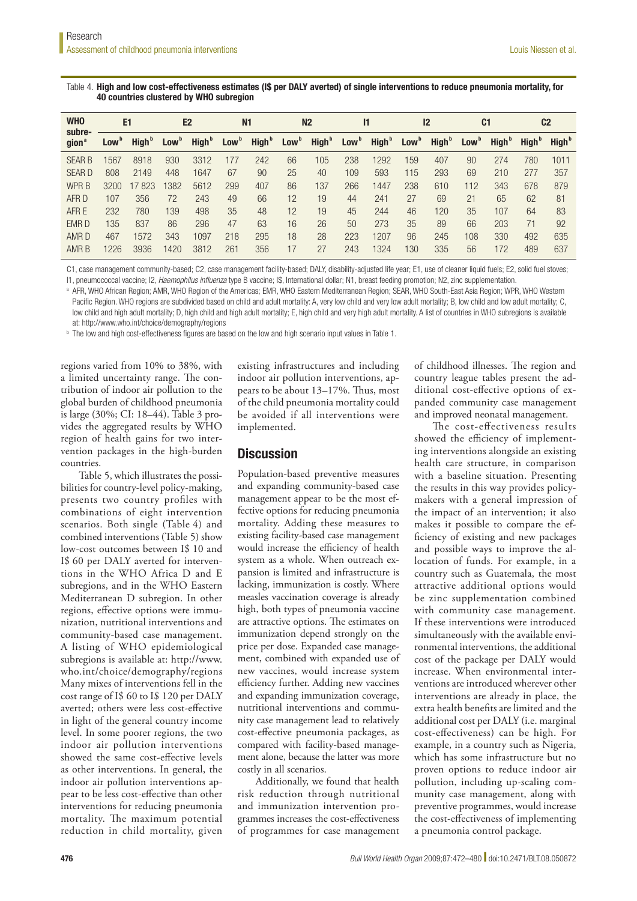## Table 4. High and low cost-effectiveness estimates (I\$ per DALY averted) of single interventions to reduce pneumonia mortality, for 40 countries clustered by WHO subregion

| <b>WHO</b><br>subre-<br>qion <sup>®</sup> | E <sub>1</sub>   |                   | E <sub>2</sub>   |                   | N <sub>1</sub>   |                   | N <sub>2</sub>   |                   | l1               |                   | 12               |                   | C <sub>1</sub>   |                   | C <sub>2</sub>           |                   |
|-------------------------------------------|------------------|-------------------|------------------|-------------------|------------------|-------------------|------------------|-------------------|------------------|-------------------|------------------|-------------------|------------------|-------------------|--------------------------|-------------------|
|                                           | Low <sup>o</sup> | High <sup>b</sup> | Low <sup>b</sup> | High <sup>b</sup> | Low <sup>b</sup> | High <sup>b</sup> | Low <sup>b</sup> | High <sup>b</sup> | Low <sup>b</sup> | High <sup>b</sup> | Low <sup>b</sup> | High <sup>b</sup> | Low <sup>b</sup> | High <sup>b</sup> | <b>High</b> <sup>b</sup> | High <sup>b</sup> |
| <b>SEAR B</b>                             | 1567             | 8918              | 930              | 3312              | 177              | 242               | 66               | 105               | 238              | 1292              | 159              | 407               | 90               | 274               | 780                      | 1011              |
| <b>SEARD</b>                              | 808              | 2149              | 448              | 1647              | 67               | 90                | 25               | 40                | 109              | 593               | 115              | 293               | 69               | 210               | 277                      | 357               |
| WPR B                                     | 3200             | 17823             | 1382             | 5612              | 299              | 407               | 86               | 137               | 266              | 1447              | 238              | 610               | 112              | 343               | 678                      | 879               |
| AFR D                                     | 107              | 356               | 72               | 243               | 49               | 66                | 12               | 19                | 44               | 241               | 27               | 69                | 21               | 65                | 62                       | 81                |
| AFR E                                     | 232              | 780               | 139              | 498               | 35               | 48                | 12               | 19                | 45               | 244               | 46               | 120               | 35               | 107               | 64                       | 83                |
| EMR D                                     | 135              | 837               | 86               | 296               | 47               | 63                | 16               | 26                | 50               | 273               | 35               | 89                | 66               | 203               | 71                       | 92                |
| AMR <sub>D</sub>                          | 467              | 1572              | 343              | 1097              | 218              | 295               | 18               | 28                | 223              | 1207              | 96               | 245               | 108              | 330               | 492                      | 635               |
| AMR B                                     | 1226             | 3936              | 1420             | 3812              | 261              | 356               | 17               | 27                | 243              | 1324              | 130              | 335               | 56               | 172               | 489                      | 637               |

C1, case management community-based; C2, case management facility-based; DALY, disability-adjusted life year; E1, use of cleaner liquid fuels; E2, solid fuel stoves; I1, pneumococcal vaccine; I2, *Haemophilus influenza* type B vaccine; I\$, International dollar; N1, breast feeding promotion; N2, zinc supplementation.

a AFR, WHO African Region; AMR, WHO Region of the Americas; EMR, WHO Eastern Mediterranean Region; SEAR, WHO South-East Asia Region; WPR, WHO Western Pacific Region. WHO regions are subdivided based on child and adult mortality: A, very low child and very low adult mortality; B, low child and low adult mortality; C, low child and high adult mortality; D, high child and high adult mortality; E, high child and very high adult mortality. A list of countries in WHO subregions is available at: http://www.who.int/choice/demography/regions

**b** The low and high cost-effectiveness figures are based on the low and high scenario input values in Table 1.

regions varied from 10% to 38%, with a limited uncertainty range. The contribution of indoor air pollution to the global burden of childhood pneumonia is large (30%; CI: 18–44). Table 3 provides the aggregated results by WHO region of health gains for two intervention packages in the high-burden countries.

Table 5, which illustrates the possibilities for country-level policy-making, presents two country profiles with combinations of eight intervention scenarios. Both single (Table 4) and combined interventions (Table 5) show low-cost outcomes between I\$ 10 and I\$ 60 per DALY averted for interventions in the WHO Africa D and E subregions, and in the WHO Eastern Mediterranean D subregion. In other regions, effective options were immunization, nutritional interventions and community-based case management. A listing of WHO epidemiological subregions is available at: [http://www.](http://www.who.int/choice/demography/regions) [who.int/choice/demography/regions](http://www.who.int/choice/demography/regions)  Many mixes of interventions fell in the cost range of I\$ 60 to I\$ 120 per DALY averted; others were less cost-effective in light of the general country income level. In some poorer regions, the two indoor air pollution interventions showed the same cost-effective levels as other interventions. In general, the indoor air pollution interventions appear to be less cost-effective than other interventions for reducing pneumonia mortality. The maximum potential reduction in child mortality, given

existing infrastructures and including indoor air pollution interventions, appears to be about 13–17%. Thus, most of the child pneumonia mortality could be avoided if all interventions were implemented.

# **Discussion**

Population-based preventive measures and expanding community-based case management appear to be the most effective options for reducing pneumonia mortality. Adding these measures to existing facility-based case management would increase the efficiency of health system as a whole. When outreach expansion is limited and infrastructure is lacking, immunization is costly. Where measles vaccination coverage is already high, both types of pneumonia vaccine are attractive options. The estimates on immunization depend strongly on the price per dose. Expanded case management, combined with expanded use of new vaccines, would increase system efficiency further. Adding new vaccines and expanding immunization coverage, nutritional interventions and community case management lead to relatively cost-effective pneumonia packages, as compared with facility-based management alone, because the latter was more costly in all scenarios.

Additionally, we found that health risk reduction through nutritional and immunization intervention programmes increases the cost-effectiveness of programmes for case management

of childhood illnesses. The region and country league tables present the additional cost-effective options of expanded community case management and improved neonatal management.

The cost-effectiveness results showed the efficiency of implementing interventions alongside an existing health care structure, in comparison with a baseline situation. Presenting the results in this way provides policymakers with a general impression of the impact of an intervention; it also makes it possible to compare the efficiency of existing and new packages and possible ways to improve the allocation of funds. For example, in a country such as Guatemala, the most attractive additional options would be zinc supplementation combined with community case management. If these interventions were introduced simultaneously with the available environmental interventions, the additional cost of the package per DALY would increase. When environmental interventions are introduced wherever other interventions are already in place, the extra health benefits are limited and the additional cost per DALY (i.e. marginal cost-effectiveness) can be high. For example, in a country such as Nigeria, which has some infrastructure but no proven options to reduce indoor air pollution, including up-scaling community case management, along with preventive programmes, would increase the cost-effectiveness of implementing a pneumonia control package.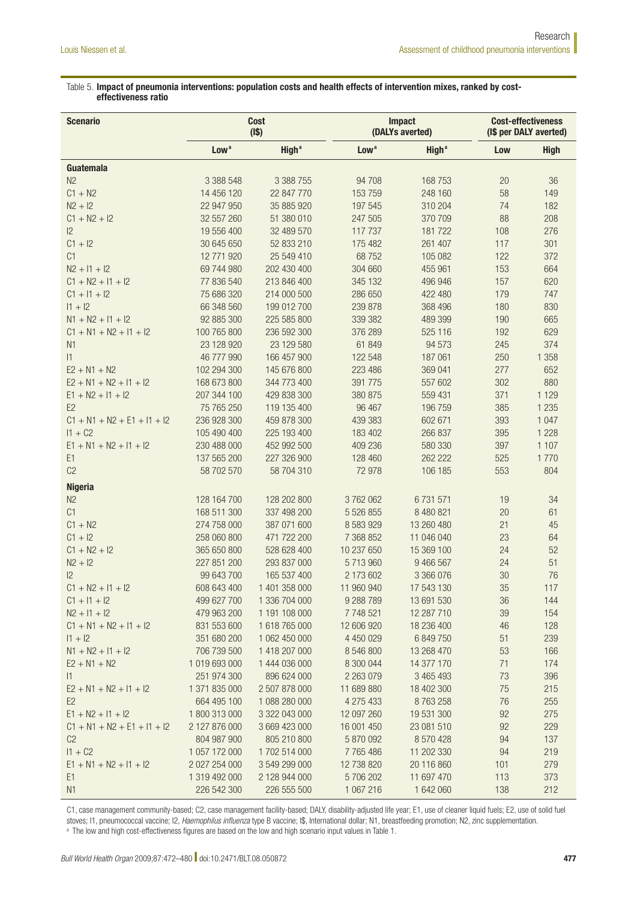## Table 5. Impact of pneumonia interventions: population costs and health effects of intervention mixes, ranked by costeffectiveness ratio

| <b>Scenario</b>                                      |                                       | <b>Cost</b><br>(1\$)           |                          | <b>Impact</b><br>(DALYs averted) | <b>Cost-effectiveness</b><br>(I\$ per DALY averted) |             |  |
|------------------------------------------------------|---------------------------------------|--------------------------------|--------------------------|----------------------------------|-----------------------------------------------------|-------------|--|
|                                                      | High <sup>a</sup><br>Low <sup>a</sup> |                                | Low <sup>a</sup>         | <b>High<sup>a</sup></b>          | Low                                                 | <b>High</b> |  |
| Guatemala                                            |                                       |                                |                          |                                  |                                                     |             |  |
| N <sub>2</sub>                                       | 3 388 548                             | 3 388 755                      | 94 708                   | 168 753                          | 20                                                  | 36          |  |
| $C1 + N2$                                            | 14 456 120                            | 22 847 770                     | 153 759                  | 248 160                          | 58                                                  | 149         |  |
| $N2 + 12$                                            | 22 947 950                            | 35 885 920                     | 197 545                  | 310 204                          | 74                                                  | 182         |  |
| $C1 + N2 + I2$                                       | 32 557 260                            | 51 380 010                     | 247 505                  | 370 709                          | 88                                                  | 208         |  |
| 2                                                    | 19 556 400                            | 32 489 570                     | 117 737                  | 181722                           | 108                                                 | 276         |  |
| $C1 + I2$                                            | 30 645 650                            | 52 833 210                     | 175 482                  | 261 407                          | 117                                                 | 301         |  |
| C1                                                   | 12 771 920                            | 25 549 410                     | 68752                    | 105 082                          | 122                                                 | 372         |  |
| $N2 + 11 + 12$                                       | 69 744 980                            | 202 430 400                    | 304 660                  | 455 961                          | 153                                                 | 664         |  |
| $C1 + N2 + I1 + I2$                                  | 77 836 540                            | 213 846 400                    | 345 132                  | 496 946                          | 157                                                 | 620         |  |
| $C1 + 11 + 12$                                       | 75 686 320                            | 214 000 500                    | 286 650                  | 422 480                          | 179                                                 | 747         |  |
| $11 + 12$                                            | 66 348 560                            | 199 012 700                    | 239 878                  | 368 496                          | 180                                                 | 830         |  |
| $N1 + N2 + I1 + I2$                                  | 92 885 300                            | 225 585 800                    | 339 382                  | 489 399                          | 190                                                 | 665         |  |
| $C1 + N1 + N2 + I1 + I2$                             | 100 765 800                           | 236 592 300                    | 376 289                  | 525 116                          | 192                                                 | 629         |  |
| N <sub>1</sub>                                       | 23 128 920                            | 23 129 580                     | 61 849                   | 94 573                           | 245                                                 | 374         |  |
| 1                                                    | 46 777 990                            | 166 457 900                    | 122 548                  | 187 061                          | 250                                                 | 1 3 5 8     |  |
| $E2 + N1 + N2$                                       | 102 294 300                           | 145 676 800                    | 223 486                  | 369 041                          | 277                                                 | 652         |  |
| $E2 + N1 + N2 + I1 + I2$                             | 168 673 800                           | 344 773 400                    | 391 775                  | 557 602                          | 302                                                 | 880         |  |
| $E1 + N2 + I1 + I2$                                  | 207 344 100                           | 429 838 300                    | 380 875                  | 559 431                          | 371                                                 | 1 1 2 9     |  |
| E <sub>2</sub>                                       | 75 765 250                            | 119 135 400                    | 96 467                   | 196 759                          | 385                                                 | 1 2 3 5     |  |
| $C1 + N1 + N2 + E1 + I1 + I2$                        | 236 928 300                           | 459 878 300                    | 439 383                  | 602 671                          | 393                                                 | 1 0 4 7     |  |
| $11 + C2$                                            | 105 490 400                           | 225 193 400                    | 183 402                  | 266 837                          | 395                                                 | 1 2 2 8     |  |
| $E1 + N1 + N2 + I1 + I2$                             | 230 488 000                           | 452 992 500                    | 409 236                  | 580 330                          | 397                                                 | 1 1 0 7     |  |
| E <sub>1</sub>                                       | 137 565 200                           | 227 326 900                    | 128 460                  | 262 222                          | 525                                                 | 1770        |  |
| C <sub>2</sub>                                       | 58 702 570                            | 58 704 310                     | 72 978                   | 106 185                          | 553                                                 | 804         |  |
| <b>Nigeria</b>                                       |                                       |                                |                          |                                  |                                                     |             |  |
| N <sub>2</sub>                                       | 128 164 700                           | 128 202 800                    | 3762062                  | 6731571                          | 19                                                  | 34          |  |
| C1                                                   | 168 511 300                           | 337 498 200                    | 5 526 855                | 8 480 821                        | 20                                                  | 61          |  |
| $C1 + N2$                                            | 274 758 000                           | 387 071 600                    | 8 5 8 3 9 2 9            | 13 260 480                       | 21                                                  | 45          |  |
| $C1 + 12$                                            | 258 060 800                           | 471 722 200                    | 7 368 852                | 11 046 040                       | 23                                                  | 64          |  |
| $C1 + N2 + I2$                                       | 365 650 800                           | 528 628 400                    | 10 237 650               | 15 369 100                       | 24                                                  | 52          |  |
| $N2 + 12$                                            | 227 851 200                           | 293 837 000                    | 5713960                  | 9 466 567                        | 24                                                  | 51          |  |
| 2                                                    | 99 643 700                            | 165 537 400                    | 2 173 602                | 3 366 076                        | 30                                                  | 76          |  |
| $C1 + N2 + I1 + I2$                                  | 608 643 400                           | 1 401 358 000                  | 11 960 940               | 17 543 130                       | 35                                                  | 117         |  |
| $C1 + 11 + 12$                                       | 499 627 700                           | 1 336 704 000                  | 9 288 789                | 13 691 530                       | 36                                                  | 144         |  |
| $N2 + 11 + 12$                                       | 479 963 200                           | 1 191 108 000                  | 7 748 521                | 12 287 710                       | 39                                                  | 154         |  |
| $C1 + N1 + N2 + I1 + I2$                             | 831 553 600                           | 1 618 765 000                  | 12 606 920               | 18 236 400                       | 46                                                  | 128         |  |
| $11 + 12$                                            | 351 680 200                           | 1 062 450 000                  | 4 450 029                | 6 849 750                        | 51                                                  | 239         |  |
| $N1 + N2 + I1 + I2$                                  | 706 739 500                           | 1 418 207 000                  | 8 546 800                | 13 268 470                       | 53                                                  | 166         |  |
| $E2 + N1 + N2$                                       | 1 019 693 000                         | 1 444 036 000                  | 8 300 044                | 14 377 170                       | 71                                                  | 174         |  |
| $\vert$ 1                                            | 251 974 300                           | 896 624 000                    | 2 2 6 3 0 7 9            | 3 465 493                        | 73                                                  | 396         |  |
| $E2 + N1 + N2 + I1 + I2$                             | 1 371 835 000                         | 2 507 878 000                  | 11 689 880               | 18 402 300                       | 75                                                  | 215         |  |
| E <sub>2</sub>                                       | 664 495 100                           | 1 088 280 000                  | 4 275 433                | 8763258                          | 76                                                  | 255         |  |
| $E1 + N2 + I1 + I2$<br>$C1 + N1 + N2 + E1 + I1 + I2$ | 1800 313 000<br>2 127 876 000         | 3 322 043 000<br>3 669 423 000 | 12 097 260<br>16 001 450 | 19 531 300<br>23 081 510         | 92<br>92                                            | 275<br>229  |  |
| C <sub>2</sub>                                       | 804 987 900                           | 805 210 800                    | 5 870 092                | 8 570 428                        | 94                                                  | 137         |  |
| $11 + C2$                                            | 1 057 172 000                         | 1702 514 000                   | 7765486                  | 11 202 330                       | 94                                                  | 219         |  |
| $E1 + N1 + N2 + I1 + I2$                             | 2 027 254 000                         | 3 549 299 000                  | 12 738 820               | 20 116 860                       | 101                                                 | 279         |  |
| E1                                                   | 1 319 492 000                         | 2 128 944 000                  | 5706202                  | 11 697 470                       | 113                                                 | 373         |  |
| N1                                                   | 226 542 300                           | 226 555 500                    | 1 067 216                | 1 642 060                        | 138                                                 | 212         |  |

C1, case management community-based; C2, case management facility-based; DALY, disability-adjusted life year; E1, use of cleaner liquid fuels; E2, use of solid fuel stoves; I1, pneumococcal vaccine; I2, *Haemophilus influenza* type B vaccine; I\$, International dollar; N1, breastfeeding promotion; N2, zinc supplementation.

<sup>a</sup> The low and high cost-effectiveness figures are based on the low and high scenario input values in Table 1.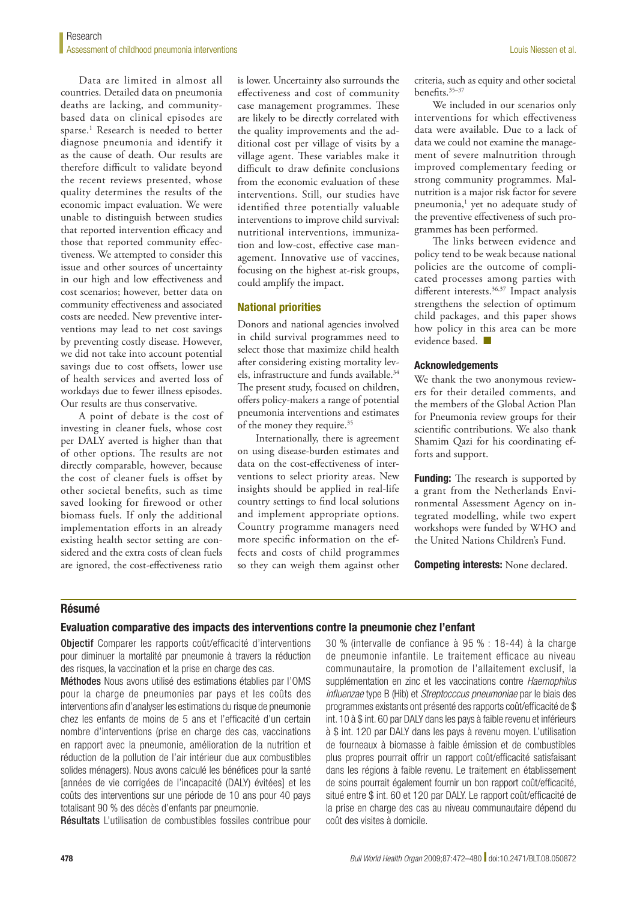Data are limited in almost all countries. Detailed data on pneumonia deaths are lacking, and communitybased data on clinical episodes are sparse.<sup>1</sup> Research is needed to better diagnose pneumonia and identify it as the cause of death. Our results are therefore difficult to validate beyond the recent reviews presented, whose quality determines the results of the economic impact evaluation. We were unable to distinguish between studies that reported intervention efficacy and those that reported community effectiveness. We attempted to consider this issue and other sources of uncertainty in our high and low effectiveness and cost scenarios; however, better data on community effectiveness and associated costs are needed. New preventive interventions may lead to net cost savings by preventing costly disease. However, we did not take into account potential savings due to cost offsets, lower use of health services and averted loss of workdays due to fewer illness episodes. Our results are thus conservative.

A point of debate is the cost of investing in cleaner fuels, whose cost per DALY averted is higher than that of other options. The results are not directly comparable, however, because the cost of cleaner fuels is offset by other societal benefits, such as time saved looking for firewood or other biomass fuels. If only the additional implementation efforts in an already existing health sector setting are considered and the extra costs of clean fuels are ignored, the cost-effectiveness ratio

is lower. Uncertainty also surrounds the effectiveness and cost of community case management programmes. These are likely to be directly correlated with the quality improvements and the additional cost per village of visits by a village agent. These variables make it difficult to draw definite conclusions from the economic evaluation of these interventions. Still, our studies have identified three potentially valuable interventions to improve child survival: nutritional interventions, immunization and low-cost, effective case management. Innovative use of vaccines, focusing on the highest at-risk groups, could amplify the impact.

## National priorities

Donors and national agencies involved in child survival programmes need to select those that maximize child health after considering existing mortality levels, infrastructure and funds available.<sup>34</sup> The present study, focused on children, offers policy-makers a range of potential pneumonia interventions and estimates of the money they require.<sup>35</sup>

Internationally, there is agreement on using disease-burden estimates and data on the cost-effectiveness of interventions to select priority areas. New insights should be applied in real-life country settings to find local solutions and implement appropriate options. Country programme managers need more specific information on the effects and costs of child programmes so they can weigh them against other

criteria, such as equity and other societal benefits.35–37

We included in our scenarios only interventions for which effectiveness data were available. Due to a lack of data we could not examine the management of severe malnutrition through improved complementary feeding or strong community programmes. Malnutrition is a major risk factor for severe pneumonia,<sup>1</sup> yet no adequate study of the preventive effectiveness of such programmes has been performed.

The links between evidence and policy tend to be weak because national policies are the outcome of complicated processes among parties with different interests.<sup>36,37</sup> Impact analysis strengthens the selection of optimum child packages, and this paper shows how policy in this area can be more evidence based. ■

#### Acknowledgements

We thank the two anonymous reviewers for their detailed comments, and the members of the Global Action Plan for Pneumonia review groups for their scientific contributions. We also thank Shamim Qazi for his coordinating efforts and support.

**Funding:** The research is supported by a grant from the Netherlands Environmental Assessment Agency on integrated modelling, while two expert workshops were funded by WHO and the United Nations Children's Fund.

Competing interests: None declared.

# Résumé

## Evaluation comparative des impacts des interventions contre la pneumonie chez l'enfant

Objectif Comparer les rapports coût/efficacité d'interventions pour diminuer la mortalité par pneumonie à travers la réduction des risques, la vaccination et la prise en charge des cas.

Méthodes Nous avons utilisé des estimations établies par l'OMS pour la charge de pneumonies par pays et les coûts des interventions afin d'analyser les estimations du risque de pneumonie chez les enfants de moins de 5 ans et l'efficacité d'un certain nombre d'interventions (prise en charge des cas, vaccinations en rapport avec la pneumonie, amélioration de la nutrition et réduction de la pollution de l'air intérieur due aux combustibles solides ménagers). Nous avons calculé les bénéfices pour la santé [années de vie corrigées de l'incapacité (DALY) évitées] et les coûts des interventions sur une période de 10 ans pour 40 pays totalisant 90 % des décès d'enfants par pneumonie.

Résultats L'utilisation de combustibles fossiles contribue pour

30 % (intervalle de confiance à 95 % : 18-44) à la charge de pneumonie infantile. Le traitement efficace au niveau communautaire, la promotion de l'allaitement exclusif, la supplémentation en zinc et les vaccinations contre *Haemophilus influenzae* type B (Hib) et *Streptocccus pneumoniae* par le biais des programmes existants ont présenté des rapports coût/efficacité de \$ int. 10 à \$ int. 60 par DALY dans les pays à faible revenu et inférieurs à \$ int. 120 par DALY dans les pays à revenu moyen. L'utilisation de fourneaux à biomasse à faible émission et de combustibles plus propres pourrait offrir un rapport coût/efficacité satisfaisant dans les régions à faible revenu. Le traitement en établissement de soins pourrait également fournir un bon rapport coût/efficacité, situé entre \$ int. 60 et 120 par DALY. Le rapport coût/efficacité de la prise en charge des cas au niveau communautaire dépend du coût des visites à domicile.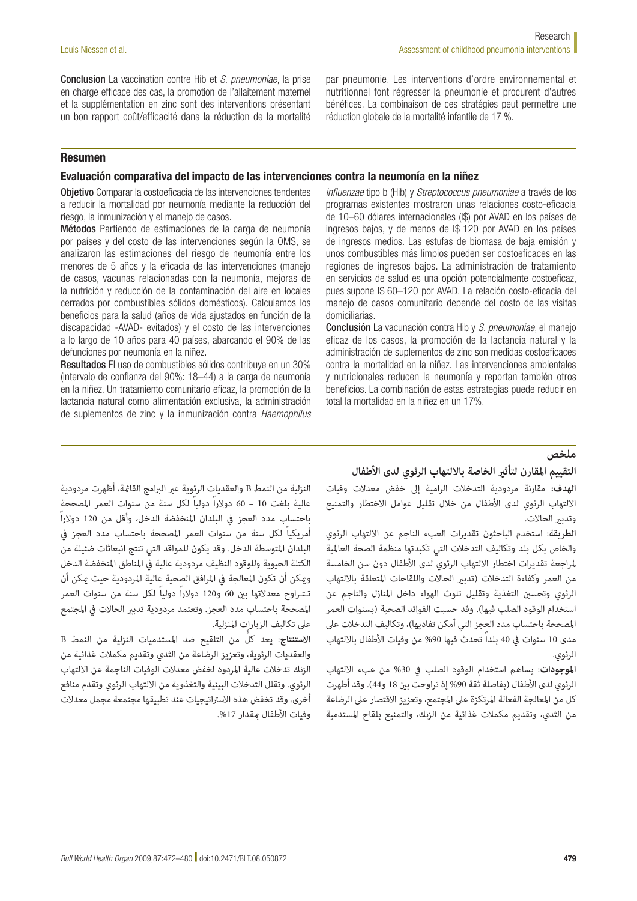Conclusion La vaccination contre Hib et *S. pneumoniae*, la prise en charge efficace des cas, la promotion de l'allaitement maternel et la supplémentation en zinc sont des interventions présentant un bon rapport coût/efficacité dans la réduction de la mortalité par pneumonie. Les interventions d'ordre environnemental et nutritionnel font régresser la pneumonie et procurent d'autres bénéfices. La combinaison de ces stratégies peut permettre une réduction globale de la mortalité infantile de 17 %.

# Resumen

## Evaluación comparativa del impacto de las intervenciones contra la neumonía en la niñez

Objetivo Comparar la costoeficacia de las intervenciones tendentes a reducir la mortalidad por neumonía mediante la reducción del riesgo, la inmunización y el manejo de casos.

Métodos Partiendo de estimaciones de la carga de neumonía por países y del costo de las intervenciones según la OMS, se analizaron las estimaciones del riesgo de neumonía entre los menores de 5 años y la eficacia de las intervenciones (manejo de casos, vacunas relacionadas con la neumonía, mejoras de la nutrición y reducción de la contaminación del aire en locales cerrados por combustibles sólidos domésticos). Calculamos los beneficios para la salud (años de vida ajustados en función de la discapacidad -AVAD- evitados) y el costo de las intervenciones a lo largo de 10 años para 40 países, abarcando el 90% de las defunciones por neumonía en la niñez.

Resultados El uso de combustibles sólidos contribuye en un 30% (intervalo de confianza del 90%: 18–44) a la carga de neumonía en la niñez. Un tratamiento comunitario eficaz, la promoción de la lactancia natural como alimentación exclusiva, la administración de suplementos de zinc y la inmunización contra *Haemophilus* 

*influenzae* tipo b (Hib) y *Streptococcus pneumoniae* a través de los programas existentes mostraron unas relaciones costo-eficacia de 10–60 dólares internacionales (I\$) por AVAD en los países de ingresos bajos, y de menos de I\$ 120 por AVAD en los países de ingresos medios. Las estufas de biomasa de baja emisión y unos combustibles más limpios pueden ser costoeficaces en las regiones de ingresos bajos. La administración de tratamiento en servicios de salud es una opción potencialmente costoeficaz, pues supone I\$ 60–120 por AVAD. La relación costo-eficacia del manejo de casos comunitario depende del costo de las visitas domiciliarias.

Conclusión La vacunación contra Hib y *S. pneumoniae*, el manejo eficaz de los casos, la promoción de la lactancia natural y la administración de suplementos de zinc son medidas costoeficaces contra la mortalidad en la niñez. Las intervenciones ambientales y nutricionales reducen la neumonía y reportan también otros beneficios. La combinación de estas estrategias puede reducir en total la mortalidad en la niñez en un 17%.

## **ملخص**

# **التقييم املقارن لتأثري الخاصة بااللتهاب الرئوي لدى األطفال**

**الهدف:** مقارنة مردودية التدخالت الرامية إىل خفض معدالت وفيات الالتهاب الرئوى لدى الأطفال من خلال تقليل عوامل الاختطار والتمنيع وتدبر الحالات.

**الطريقة**: استخدم الباحثون تقديرات العبء الناجم عن االلتهاب الرئوي والخاص بكل بلد وتكاليف التدخالت التي تكبدتها منظمة الصحة العاملية ملراجعة تقديرات اختطار االلتهاب الرئوي لدى األطفال دون سن الخامسة من العمر وكفاءة التدخلات (تدبر الحالات واللقاحات المتعلقة بالالتهاب الرئوي وتحسني التغذية وتقليل تلوث الهواء داخل املنازل والناجم عن استخدام الوقود الصلب فيها). وقد حسبت الفوائد الصحية (بسنوات العمر المصححة باحتساب مدد العجز التي أمكن تفاديها)، وتكاليف التدخلات على مدى 10 سنوات في 40 بلداً تحدث فيها 90% من وفيات الأطفال بالالتهاب الرئوي.

**املوجودات**: يساهم استخدام الوقود الصلب يف %30 من عبء االلتهاب الرئوي لدى الأطفال (بفاصلة ثقة 90% إذ تراوحت بين 18 و44). وقد أظهرت كل من املعالجة الفعالة املرتكزة عىل املجتمع، وتعزيز االقتصار عىل الرضاعة من الثدي، وتقديم مكمالت غذائية من الزنك، والتمنيع بلقاح املستدمية

النزلية من النمط B والعقديات الرئوية عبر البرامج القائمة، أظهرت مردودية<br>عالية بلغت 10 – 60 دولاراً دولياً لكل سنة من سنوات العمر المصححة باحتساب مدد العجز يف البلدان املنخفضة الدخل، وأقل من 120 دوالراً عالية بلغت 10 – 60 دوالراً دولياً لكل سنة من سنوات العمر املصححة أمريكياً لكل سنة من سنوات العمر املصححة باحتساب مدد العجز يف البلدان املتوسطة الدخل. وقد يكون للمواقد التي تنتج انبعاثات ضئيلة من الكتلة الحيوية وللوقود النظيف مردودية عالية يف املناطق املنخفضة الدخل وميكن أن تكون املعالجة يف املرافق الصحية عالية املردودية حيث ميكن أن تـتـراوح معدالتها بني 60 و120 دوالراً دولياً لكل سنة من سنوات العمر املصححة باحتساب مدد العجز. وتعتمد مردودية تدبري الحاالت يف املجتمع عىل تكاليف الزيارات املنزلية.

**االستنتاج** ٌّ : يعد كل من التلقيح ضد املستدميات النزلية من النمط B والعقديات الرئوية، وتعزيز الرضاعة من الثدي وتقديم مكمالت غذائية من الزنك تدخالت عالية املردود لخفض معدالت الوفيات الناجمة عن االلتهاب الرئوي. وتقلل التدخالت البيئية والتغذوية من االلتهاب الرئوي وتقدم منافع أخرى، وقد تخفض هذه الاستراتيجيات عند تطبيقها مجتمعة مجمل معدلات وفيات الأطفال مقدار 17%.